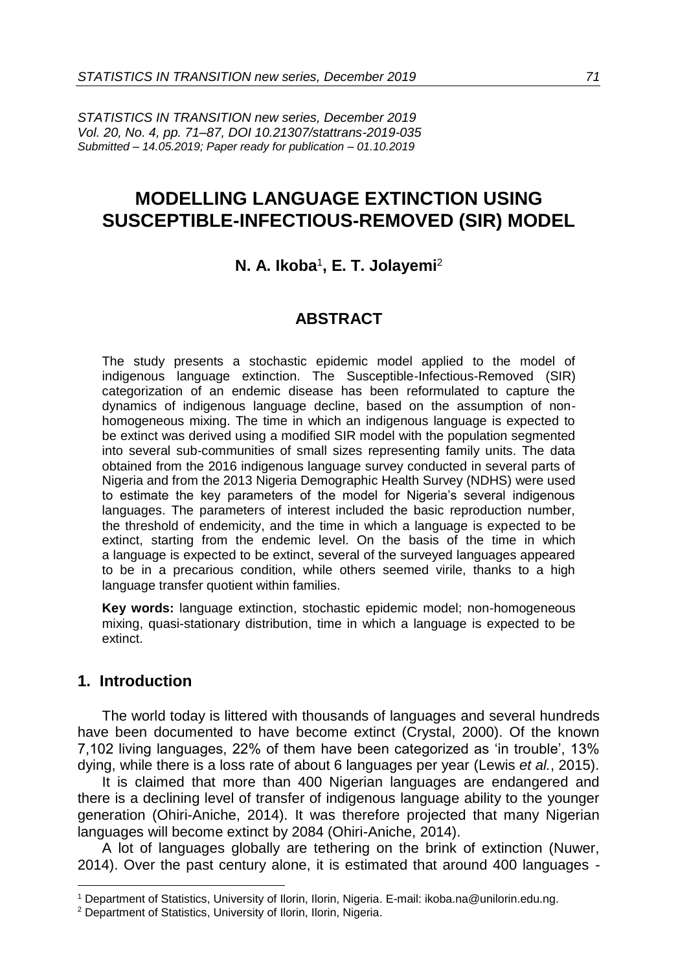*STATISTICS IN TRANSITION new series, December 2019 Vol. 20, No. 4, pp. 71–87, DOI 10.21307/stattrans-2019-035 Submitted – 14.05.2019; Paper ready for publication – 01.10.2019*

# **MODELLING LANGUAGE EXTINCTION USING SUSCEPTIBLE-INFECTIOUS-REMOVED (SIR) MODEL**

# **N. A. Ikoba**<sup>1</sup> **, E. T. Jolayemi**<sup>2</sup>

# **ABSTRACT**

The study presents a stochastic epidemic model applied to the model of indigenous language extinction. The Susceptible-Infectious-Removed (SIR) categorization of an endemic disease has been reformulated to capture the dynamics of indigenous language decline, based on the assumption of nonhomogeneous mixing. The time in which an indigenous language is expected to be extinct was derived using a modified SIR model with the population segmented into several sub-communities of small sizes representing family units. The data obtained from the 2016 indigenous language survey conducted in several parts of Nigeria and from the 2013 Nigeria Demographic Health Survey (NDHS) were used to estimate the key parameters of the model for Nigeria's several indigenous languages. The parameters of interest included the basic reproduction number, the threshold of endemicity, and the time in which a language is expected to be extinct, starting from the endemic level. On the basis of the time in which a language is expected to be extinct, several of the surveyed languages appeared to be in a precarious condition, while others seemed virile, thanks to a high language transfer quotient within families.

**Key words:** language extinction, stochastic epidemic model; non-homogeneous mixing, quasi-stationary distribution, time in which a language is expected to be extinct.

### **1. Introduction**

1

The world today is littered with thousands of languages and several hundreds have been documented to have become extinct (Crystal, 2000). Of the known 7,102 living languages, 22% of them have been categorized as 'in trouble', 13% dying, while there is a loss rate of about 6 languages per year (Lewis *et al.*, 2015).

It is claimed that more than 400 Nigerian languages are endangered and there is a declining level of transfer of indigenous language ability to the younger generation (Ohiri-Aniche, 2014). It was therefore projected that many Nigerian languages will become extinct by 2084 (Ohiri-Aniche, 2014).

A lot of languages globally are tethering on the brink of extinction (Nuwer, 2014). Over the past century alone, it is estimated that around 400 languages -

<sup>1</sup> Department of Statistics, University of Ilorin, Ilorin, Nigeria. E-mail: ikoba.na@unilorin.edu.ng.

<sup>2</sup> Department of Statistics, University of Ilorin, Ilorin, Nigeria.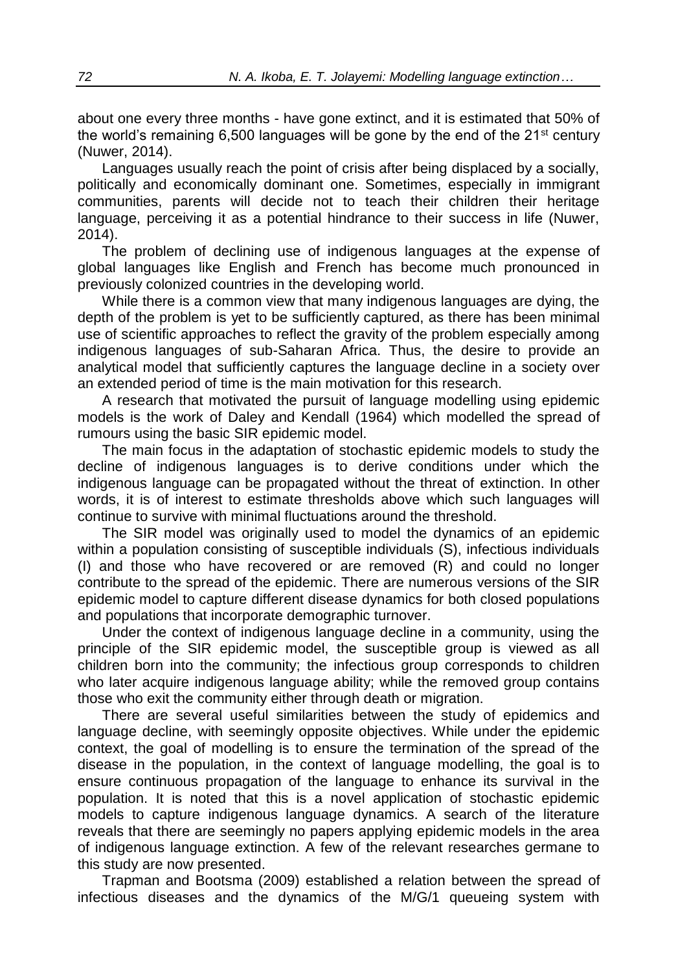about one every three months - have gone extinct, and it is estimated that 50% of the world's remaining  $6,500$  languages will be gone by the end of the  $21^{st}$  century (Nuwer, 2014).

Languages usually reach the point of crisis after being displaced by a socially, politically and economically dominant one. Sometimes, especially in immigrant communities, parents will decide not to teach their children their heritage language, perceiving it as a potential hindrance to their success in life (Nuwer, 2014).

The problem of declining use of indigenous languages at the expense of global languages like English and French has become much pronounced in previously colonized countries in the developing world.

While there is a common view that many indigenous languages are dying, the depth of the problem is yet to be sufficiently captured, as there has been minimal use of scientific approaches to reflect the gravity of the problem especially among indigenous languages of sub-Saharan Africa. Thus, the desire to provide an analytical model that sufficiently captures the language decline in a society over an extended period of time is the main motivation for this research.

A research that motivated the pursuit of language modelling using epidemic models is the work of Daley and Kendall (1964) which modelled the spread of rumours using the basic SIR epidemic model.

The main focus in the adaptation of stochastic epidemic models to study the decline of indigenous languages is to derive conditions under which the indigenous language can be propagated without the threat of extinction. In other words, it is of interest to estimate thresholds above which such languages will continue to survive with minimal fluctuations around the threshold.

The SIR model was originally used to model the dynamics of an epidemic within a population consisting of susceptible individuals (S), infectious individuals (I) and those who have recovered or are removed (R) and could no longer contribute to the spread of the epidemic. There are numerous versions of the SIR epidemic model to capture different disease dynamics for both closed populations and populations that incorporate demographic turnover.

Under the context of indigenous language decline in a community, using the principle of the SIR epidemic model, the susceptible group is viewed as all children born into the community; the infectious group corresponds to children who later acquire indigenous language ability; while the removed group contains those who exit the community either through death or migration.

There are several useful similarities between the study of epidemics and language decline, with seemingly opposite objectives. While under the epidemic context, the goal of modelling is to ensure the termination of the spread of the disease in the population, in the context of language modelling, the goal is to ensure continuous propagation of the language to enhance its survival in the population. It is noted that this is a novel application of stochastic epidemic models to capture indigenous language dynamics. A search of the literature reveals that there are seemingly no papers applying epidemic models in the area of indigenous language extinction. A few of the relevant researches germane to this study are now presented.

Trapman and Bootsma (2009) established a relation between the spread of infectious diseases and the dynamics of the M/G/1 queueing system with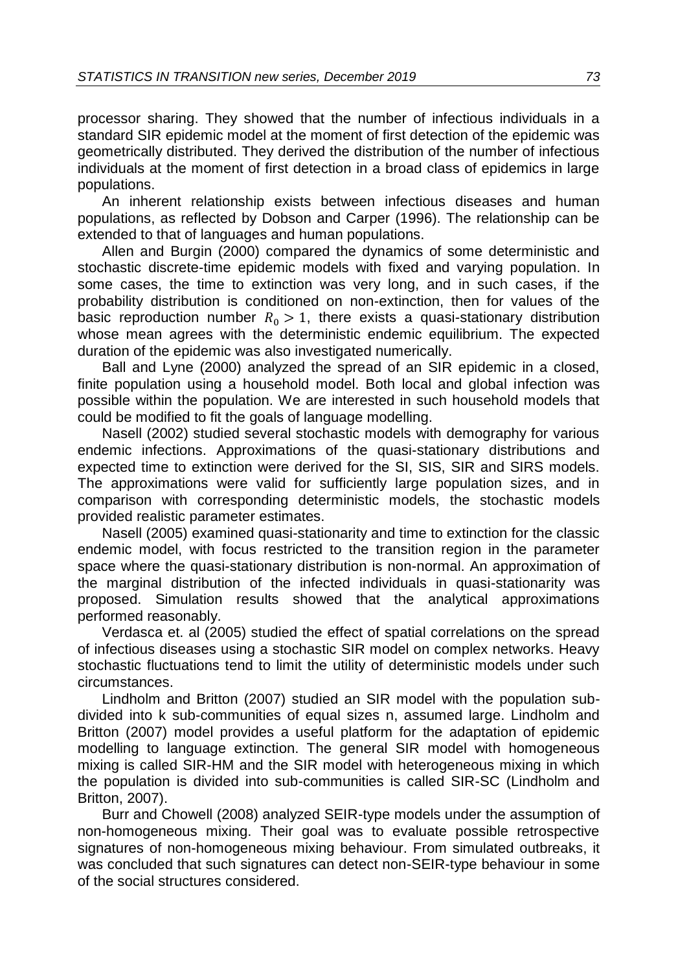processor sharing. They showed that the number of infectious individuals in a standard SIR epidemic model at the moment of first detection of the epidemic was geometrically distributed. They derived the distribution of the number of infectious individuals at the moment of first detection in a broad class of epidemics in large populations.

An inherent relationship exists between infectious diseases and human populations, as reflected by Dobson and Carper (1996). The relationship can be extended to that of languages and human populations.

Allen and Burgin (2000) compared the dynamics of some deterministic and stochastic discrete-time epidemic models with fixed and varying population. In some cases, the time to extinction was very long, and in such cases, if the probability distribution is conditioned on non-extinction, then for values of the basic reproduction number  $R_0 > 1$ , there exists a quasi-stationary distribution whose mean agrees with the deterministic endemic equilibrium. The expected duration of the epidemic was also investigated numerically.

Ball and Lyne (2000) analyzed the spread of an SIR epidemic in a closed, finite population using a household model. Both local and global infection was possible within the population. We are interested in such household models that could be modified to fit the goals of language modelling.

Nasell (2002) studied several stochastic models with demography for various endemic infections. Approximations of the quasi-stationary distributions and expected time to extinction were derived for the SI, SIS, SIR and SIRS models. The approximations were valid for sufficiently large population sizes, and in comparison with corresponding deterministic models, the stochastic models provided realistic parameter estimates.

Nasell (2005) examined quasi-stationarity and time to extinction for the classic endemic model, with focus restricted to the transition region in the parameter space where the quasi-stationary distribution is non-normal. An approximation of the marginal distribution of the infected individuals in quasi-stationarity was proposed. Simulation results showed that the analytical approximations performed reasonably.

Verdasca et. al (2005) studied the effect of spatial correlations on the spread of infectious diseases using a stochastic SIR model on complex networks. Heavy stochastic fluctuations tend to limit the utility of deterministic models under such circumstances.

Lindholm and Britton (2007) studied an SIR model with the population subdivided into k sub-communities of equal sizes n, assumed large. Lindholm and Britton (2007) model provides a useful platform for the adaptation of epidemic modelling to language extinction. The general SIR model with homogeneous mixing is called SIR-HM and the SIR model with heterogeneous mixing in which the population is divided into sub-communities is called SIR-SC (Lindholm and Britton, 2007).

Burr and Chowell (2008) analyzed SEIR-type models under the assumption of non-homogeneous mixing. Their goal was to evaluate possible retrospective signatures of non-homogeneous mixing behaviour. From simulated outbreaks, it was concluded that such signatures can detect non-SEIR-type behaviour in some of the social structures considered.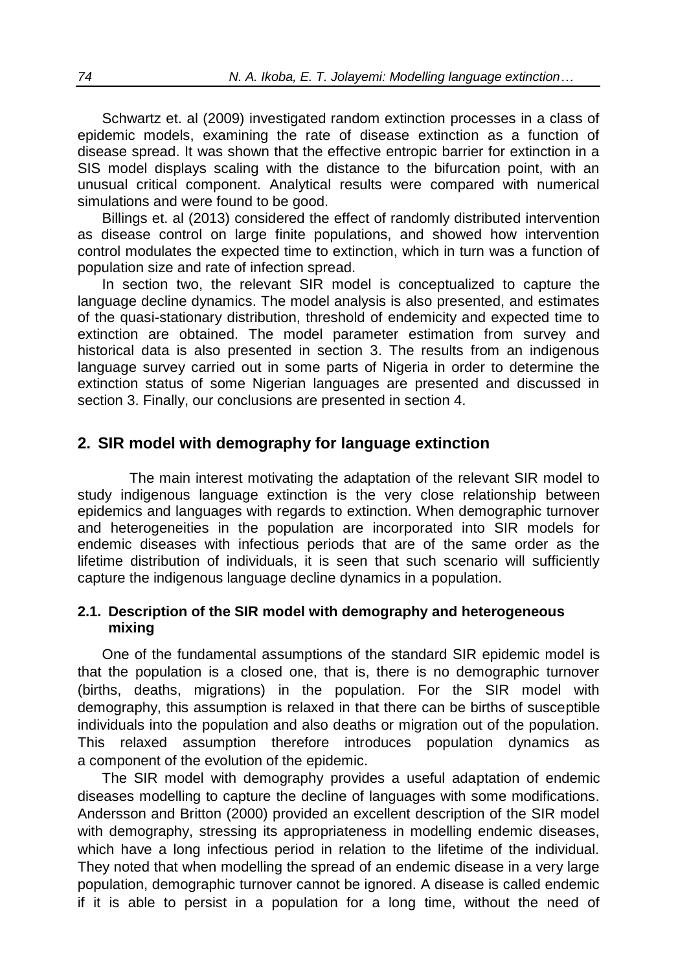Schwartz et. al (2009) investigated random extinction processes in a class of epidemic models, examining the rate of disease extinction as a function of disease spread. It was shown that the effective entropic barrier for extinction in a SIS model displays scaling with the distance to the bifurcation point, with an unusual critical component. Analytical results were compared with numerical simulations and were found to be good.

Billings et. al (2013) considered the effect of randomly distributed intervention as disease control on large finite populations, and showed how intervention control modulates the expected time to extinction, which in turn was a function of population size and rate of infection spread.

In section two, the relevant SIR model is conceptualized to capture the language decline dynamics. The model analysis is also presented, and estimates of the quasi-stationary distribution, threshold of endemicity and expected time to extinction are obtained. The model parameter estimation from survey and historical data is also presented in section 3. The results from an indigenous language survey carried out in some parts of Nigeria in order to determine the extinction status of some Nigerian languages are presented and discussed in section 3. Finally, our conclusions are presented in section 4.

## **2. SIR model with demography for language extinction**

The main interest motivating the adaptation of the relevant SIR model to study indigenous language extinction is the very close relationship between epidemics and languages with regards to extinction. When demographic turnover and heterogeneities in the population are incorporated into SIR models for endemic diseases with infectious periods that are of the same order as the lifetime distribution of individuals, it is seen that such scenario will sufficiently capture the indigenous language decline dynamics in a population.

### **2.1. Description of the SIR model with demography and heterogeneous mixing**

One of the fundamental assumptions of the standard SIR epidemic model is that the population is a closed one, that is, there is no demographic turnover (births, deaths, migrations) in the population. For the SIR model with demography, this assumption is relaxed in that there can be births of susceptible individuals into the population and also deaths or migration out of the population. This relaxed assumption therefore introduces population dynamics as a component of the evolution of the epidemic.

The SIR model with demography provides a useful adaptation of endemic diseases modelling to capture the decline of languages with some modifications. Andersson and Britton (2000) provided an excellent description of the SIR model with demography, stressing its appropriateness in modelling endemic diseases, which have a long infectious period in relation to the lifetime of the individual. They noted that when modelling the spread of an endemic disease in a very large population, demographic turnover cannot be ignored. A disease is called endemic if it is able to persist in a population for a long time, without the need of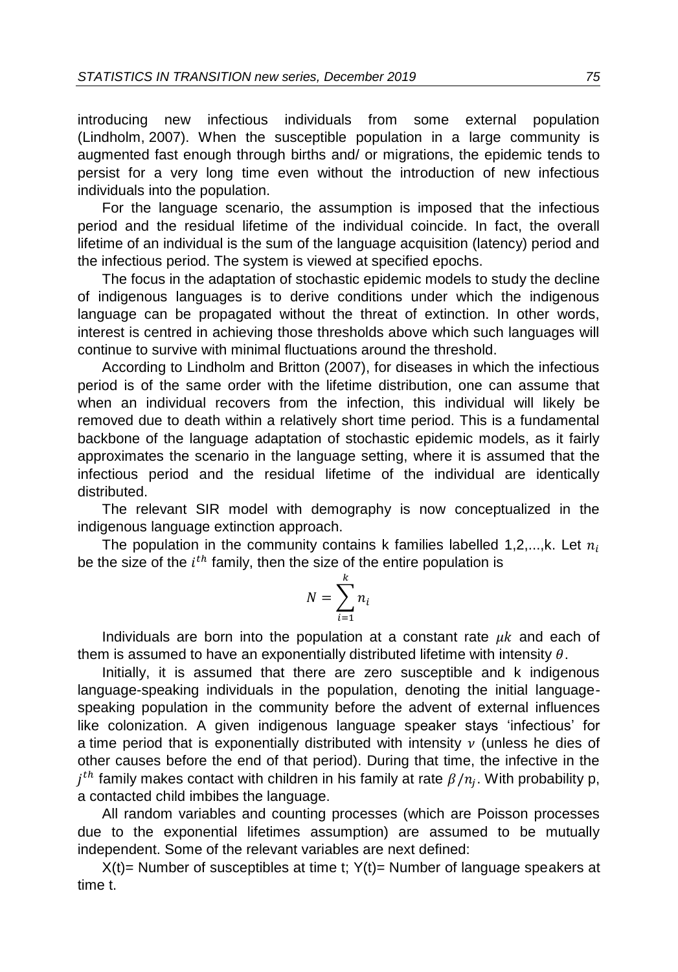introducing new infectious individuals from some external population (Lindholm, 2007). When the susceptible population in a large community is augmented fast enough through births and/ or migrations, the epidemic tends to persist for a very long time even without the introduction of new infectious individuals into the population.

For the language scenario, the assumption is imposed that the infectious period and the residual lifetime of the individual coincide. In fact, the overall lifetime of an individual is the sum of the language acquisition (latency) period and the infectious period. The system is viewed at specified epochs.

The focus in the adaptation of stochastic epidemic models to study the decline of indigenous languages is to derive conditions under which the indigenous language can be propagated without the threat of extinction. In other words, interest is centred in achieving those thresholds above which such languages will continue to survive with minimal fluctuations around the threshold.

According to Lindholm and Britton (2007), for diseases in which the infectious period is of the same order with the lifetime distribution, one can assume that when an individual recovers from the infection, this individual will likely be removed due to death within a relatively short time period. This is a fundamental backbone of the language adaptation of stochastic epidemic models, as it fairly approximates the scenario in the language setting, where it is assumed that the infectious period and the residual lifetime of the individual are identically distributed.

The relevant SIR model with demography is now conceptualized in the indigenous language extinction approach.

The population in the community contains k families labelled 1,2,...,k. Let  $n_i$ be the size of the  $i^{th}$  family, then the size of the entire population is

$$
N=\sum_{i=1}^k n_i
$$

Individuals are born into the population at a constant rate  $\mu k$  and each of them is assumed to have an exponentially distributed lifetime with intensity  $\theta$ .

Initially, it is assumed that there are zero susceptible and k indigenous language-speaking individuals in the population, denoting the initial languagespeaking population in the community before the advent of external influences like colonization. A given indigenous language speaker stays 'infectious' for a time period that is exponentially distributed with intensity  $\nu$  (unless he dies of other causes before the end of that period). During that time, the infective in the  $j^{th}$  family makes contact with children in his family at rate  $\beta/n_j$ . With probability p, a contacted child imbibes the language.

All random variables and counting processes (which are Poisson processes due to the exponential lifetimes assumption) are assumed to be mutually independent. Some of the relevant variables are next defined:

 $X(t)$ = Number of susceptibles at time t;  $Y(t)$ = Number of language speakers at time t.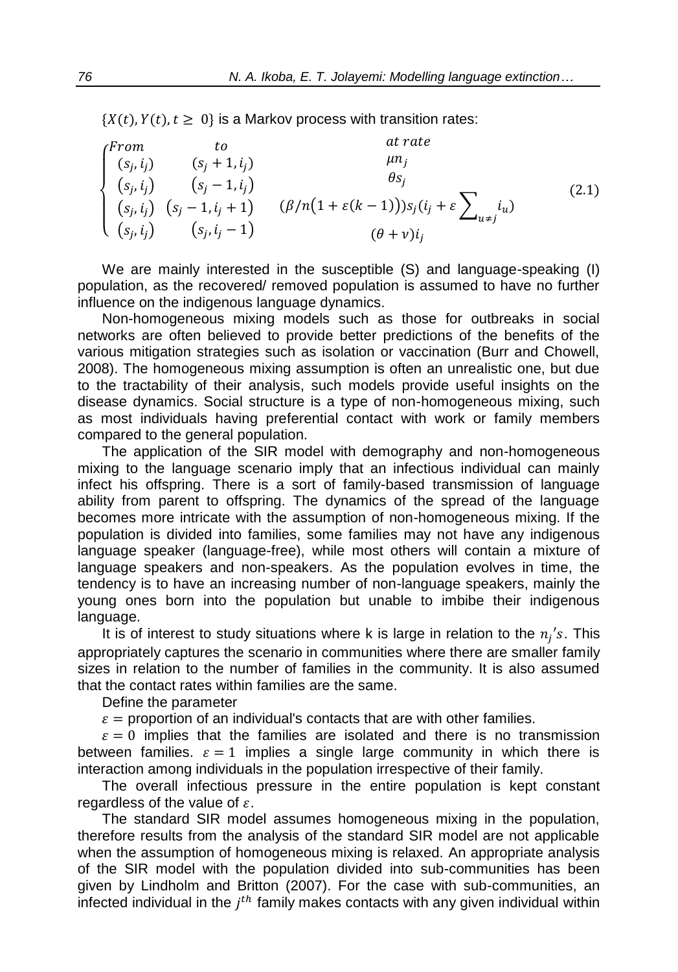$\{X(t), Y(t), t \geq 0\}$  is a Markov process with transition rates:

|                                            | tο                                | at rate                                                                           |       |
|--------------------------------------------|-----------------------------------|-----------------------------------------------------------------------------------|-------|
|                                            | $(s_i + 1, i_i)$                  | $\mu n_i$                                                                         |       |
| $\int_{(s_j, i_j)}^{From}$<br>$(s_j, i_j)$ | $(s_i - 1, i_i)$                  | $\theta s_i$                                                                      | (2.1) |
|                                            | $(s_j, i_j)$ $(s_j - 1, i_j + 1)$ | $(\beta/n(1+\varepsilon(k-1)))s_j(i_j+\varepsilon)\bigg\downarrow_{u\neq j} i_u)$ |       |
|                                            | $(s_i, i_j)$ $(s_i, i_j - 1)$     | $(\theta + v)i_i$                                                                 |       |

We are mainly interested in the susceptible (S) and language-speaking (I) population, as the recovered/ removed population is assumed to have no further influence on the indigenous language dynamics.

Non-homogeneous mixing models such as those for outbreaks in social networks are often believed to provide better predictions of the benefits of the various mitigation strategies such as isolation or vaccination (Burr and Chowell, 2008). The homogeneous mixing assumption is often an unrealistic one, but due to the tractability of their analysis, such models provide useful insights on the disease dynamics. Social structure is a type of non-homogeneous mixing, such as most individuals having preferential contact with work or family members compared to the general population.

The application of the SIR model with demography and non-homogeneous mixing to the language scenario imply that an infectious individual can mainly infect his offspring. There is a sort of family-based transmission of language ability from parent to offspring. The dynamics of the spread of the language becomes more intricate with the assumption of non-homogeneous mixing. If the population is divided into families, some families may not have any indigenous language speaker (language-free), while most others will contain a mixture of language speakers and non-speakers. As the population evolves in time, the tendency is to have an increasing number of non-language speakers, mainly the young ones born into the population but unable to imbibe their indigenous language.

It is of interest to study situations where k is large in relation to the  $n_j$ 's. This appropriately captures the scenario in communities where there are smaller family sizes in relation to the number of families in the community. It is also assumed that the contact rates within families are the same.

Define the parameter

 $\varepsilon$  = proportion of an individual's contacts that are with other families.

 $\varepsilon = 0$  implies that the families are isolated and there is no transmission between families.  $\varepsilon = 1$  implies a single large community in which there is interaction among individuals in the population irrespective of their family.

The overall infectious pressure in the entire population is kept constant regardless of the value of  $\varepsilon$ .

The standard SIR model assumes homogeneous mixing in the population, therefore results from the analysis of the standard SIR model are not applicable when the assumption of homogeneous mixing is relaxed. An appropriate analysis of the SIR model with the population divided into sub-communities has been given by Lindholm and Britton (2007). For the case with sub-communities, an infected individual in the  $j<sup>th</sup>$  family makes contacts with any given individual within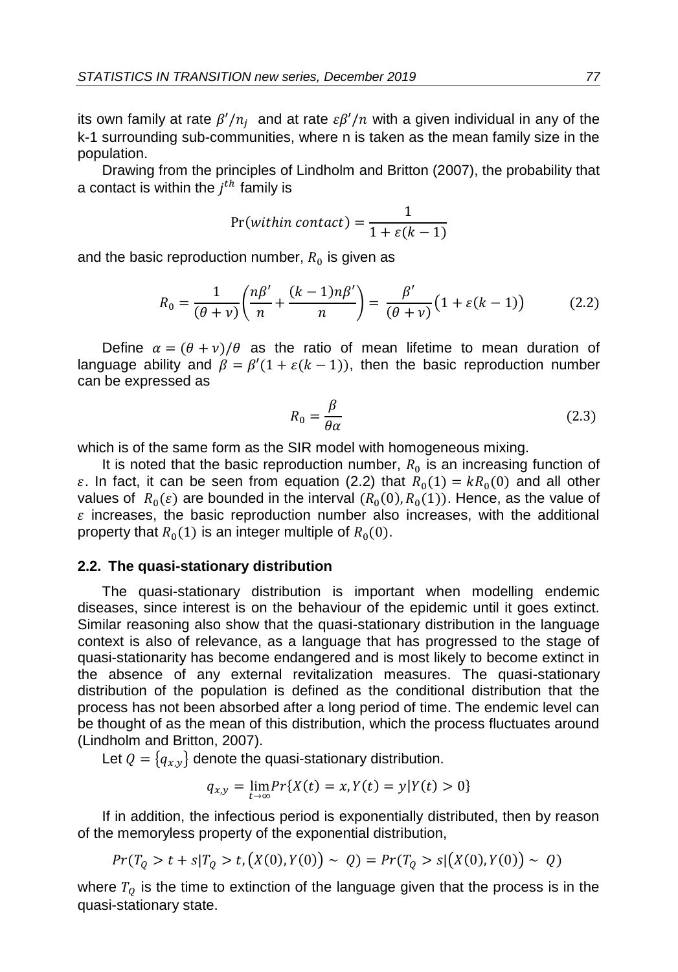its own family at rate  $\beta'/n_j$  and at rate  $\varepsilon\beta'/n$  with a given individual in any of the k-1 surrounding sub-communities, where n is taken as the mean family size in the population.

Drawing from the principles of Lindholm and Britton (2007), the probability that a contact is within the  $j^{th}$  family is

$$
Pr(within contact) = \frac{1}{1 + \varepsilon(k - 1)}
$$

and the basic reproduction number,  $R_{\rm 0}$  is given as

$$
R_0 = \frac{1}{(\theta + \nu)} \left( \frac{n\beta'}{n} + \frac{(k-1)n\beta'}{n} \right) = \frac{\beta'}{(\theta + \nu)} \left( 1 + \varepsilon(k-1) \right) \tag{2.2}
$$

Define  $\alpha = (\theta + v)/\theta$  as the ratio of mean lifetime to mean duration of language ability and  $\beta = \beta'(1 + \varepsilon(k - 1))$ , then the basic reproduction number can be expressed as

$$
R_0 = \frac{\beta}{\theta \alpha} \tag{2.3}
$$

which is of the same form as the SIR model with homogeneous mixing.

It is noted that the basic reproduction number,  $R_0$  is an increasing function of  $\varepsilon$ . In fact, it can be seen from equation (2.2) that  $R_0(1) = kR_0(0)$  and all other values of  $R_0(\varepsilon)$  are bounded in the interval  $(R_0(0), R_0(1))$ . Hence, as the value of  $\varepsilon$  increases, the basic reproduction number also increases, with the additional property that  $R_0(1)$  is an integer multiple of  $R_0(0)$ .

#### **2.2. The quasi-stationary distribution**

The quasi-stationary distribution is important when modelling endemic diseases, since interest is on the behaviour of the epidemic until it goes extinct. Similar reasoning also show that the quasi-stationary distribution in the language context is also of relevance, as a language that has progressed to the stage of quasi-stationarity has become endangered and is most likely to become extinct in the absence of any external revitalization measures. The quasi-stationary distribution of the population is defined as the conditional distribution that the process has not been absorbed after a long period of time. The endemic level can be thought of as the mean of this distribution, which the process fluctuates around (Lindholm and Britton, 2007).

Let  $Q = \{q_{x,y}\}\$  denote the quasi-stationary distribution.

$$
q_{x,y} = \lim_{t \to \infty} Pr\{X(t) = x, Y(t) = y | Y(t) > 0\}
$$

If in addition, the infectious period is exponentially distributed, then by reason of the memoryless property of the exponential distribution,

$$
Pr(T_Q > t + s | T_Q > t, (X(0), Y(0)) \sim Q) = Pr(T_Q > s | (X(0), Y(0)) \sim Q)
$$

where  $T_Q$  is the time to extinction of the language given that the process is in the quasi-stationary state.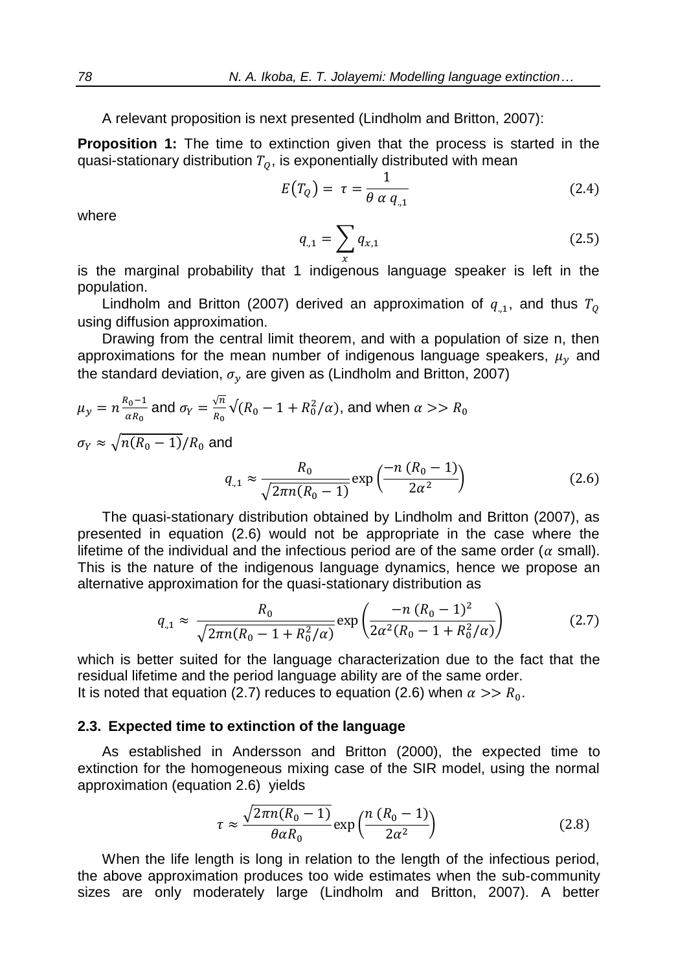A relevant proposition is next presented (Lindholm and Britton, 2007):

**Proposition 1:** The time to extinction given that the process is started in the quasi-stationary distribution  $T_0$ , is exponentially distributed with mean

$$
E(T_Q) = \tau = \frac{1}{\theta \alpha q_{,1}}\tag{2.4}
$$

where

$$
q_{,1} = \sum_{x} q_{x,1} \tag{2.5}
$$

is the marginal probability that 1 indigenous language speaker is left in the population.

Lindholm and Britton (2007) derived an approximation of  $q_{,1}$ , and thus  $T_{Q}$ using diffusion approximation.

Drawing from the central limit theorem, and with a population of size n, then approximations for the mean number of indigenous language speakers,  $\mu_{v}$  and the standard deviation,  $\sigma_{\gamma}$  are given as (Lindholm and Britton, 2007)

$$
\mu_y = n \frac{R_0 - 1}{\alpha R_0} \text{ and } \sigma_Y = \frac{\sqrt{n}}{R_0} \sqrt{(R_0 - 1 + R_0^2/\alpha)}, \text{ and when } \alpha >> R_0
$$
  

$$
\sigma_Y \approx \sqrt{n(R_0 - 1)}/R_0 \text{ and}
$$

$$
q_{,1} \approx \frac{R_0}{\sqrt{2\pi n (R_0 - 1)}} \exp\left(\frac{-n (R_0 - 1)}{2\alpha^2}\right) \tag{2.6}
$$

The quasi-stationary distribution obtained by Lindholm and Britton (2007), as presented in equation (2.6) would not be appropriate in the case where the lifetime of the individual and the infectious period are of the same order ( $\alpha$  small). This is the nature of the indigenous language dynamics, hence we propose an alternative approximation for the quasi-stationary distribution as

$$
q_{,1} \approx \frac{R_0}{\sqrt{2\pi n (R_0 - 1 + R_0^2/\alpha)}} \exp\left(\frac{-n (R_0 - 1)^2}{2\alpha^2 (R_0 - 1 + R_0^2/\alpha)}\right) \tag{2.7}
$$

which is better suited for the language characterization due to the fact that the residual lifetime and the period language ability are of the same order. It is noted that equation (2.7) reduces to equation (2.6) when  $\alpha >> R_0$ .

#### **2.3. Expected time to extinction of the language**

As established in Andersson and Britton (2000), the expected time to extinction for the homogeneous mixing case of the SIR model, using the normal approximation (equation 2.6) yields

$$
\tau \approx \frac{\sqrt{2\pi n (R_0 - 1)}}{\theta \alpha R_0} \exp\left(\frac{n (R_0 - 1)}{2\alpha^2}\right) \tag{2.8}
$$

When the life length is long in relation to the length of the infectious period, the above approximation produces too wide estimates when the sub-community sizes are only moderately large (Lindholm and Britton, 2007). A better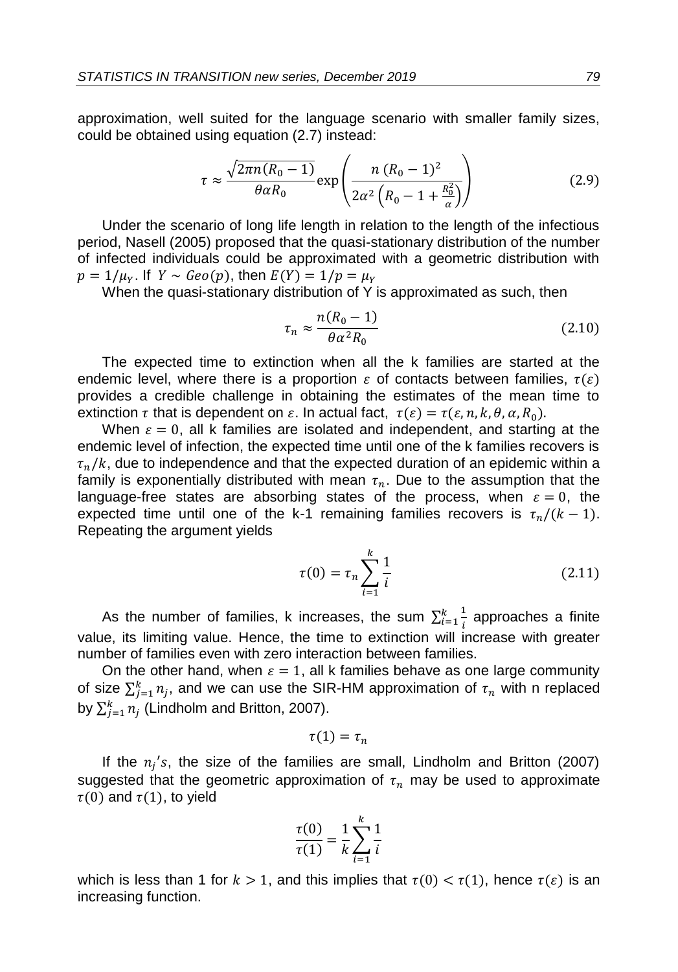approximation, well suited for the language scenario with smaller family sizes, could be obtained using equation (2.7) instead:

$$
\tau \approx \frac{\sqrt{2\pi n (R_0 - 1)}}{\theta \alpha R_0} \exp\left(\frac{n (R_0 - 1)^2}{2\alpha^2 \left(R_0 - 1 + \frac{R_0^2}{\alpha}\right)}\right)
$$
(2.9)

Under the scenario of long life length in relation to the length of the infectious period, Nasell (2005) proposed that the quasi-stationary distribution of the number of infected individuals could be approximated with a geometric distribution with  $p = 1/\mu_v$ . If  $Y \sim Geo(p)$ , then  $E(Y) = 1/p = \mu_v$ 

When the quasi-stationary distribution of Y is approximated as such, then

$$
\tau_n \approx \frac{n(R_0 - 1)}{\theta \alpha^2 R_0} \tag{2.10}
$$

The expected time to extinction when all the k families are started at the endemic level, where there is a proportion  $\varepsilon$  of contacts between families,  $\tau(\varepsilon)$ provides a credible challenge in obtaining the estimates of the mean time to extinction  $\tau$  that is dependent on  $\varepsilon$ . In actual fact,  $\tau(\varepsilon) = \tau(\varepsilon, n, k, \theta, \alpha, R_0)$ .

When  $\varepsilon = 0$ , all k families are isolated and independent, and starting at the endemic level of infection, the expected time until one of the k families recovers is  $\tau_n/k$ , due to independence and that the expected duration of an epidemic within a family is exponentially distributed with mean  $\tau_n$ . Due to the assumption that the language-free states are absorbing states of the process, when  $\varepsilon = 0$ , the expected time until one of the k-1 remaining families recovers is  $\tau_n/(k-1)$ . Repeating the argument yields

$$
\tau(0) = \tau_n \sum_{i=1}^{k} \frac{1}{i}
$$
 (2.11)

As the number of families, k increases, the sum  $\sum_{i=1}^{k} \frac{1}{i}$ i  $\frac{k}{i=1}$  approaches a finite value, its limiting value. Hence, the time to extinction will increase with greater number of families even with zero interaction between families.

On the other hand, when  $\varepsilon = 1$ , all k families behave as one large community of size  $\sum_{j=1}^k n_j$ , and we can use the SIR-HM approximation of  $\tau_n$  with n replaced by  $\sum_{j=1}^k n_j$  (Lindholm and Britton, 2007).

$$
\tau(1)=\tau_n
$$

If the  $n_j$ 's, the size of the families are small, Lindholm and Britton (2007) suggested that the geometric approximation of  $\tau_n$  may be used to approximate  $\tau(0)$  and  $\tau(1)$ , to yield

$$
\frac{\tau(0)}{\tau(1)} = \frac{1}{k} \sum_{i=1}^{k} \frac{1}{i}
$$

which is less than 1 for  $k > 1$ , and this implies that  $\tau(0) < \tau(1)$ , hence  $\tau(\varepsilon)$  is an increasing function.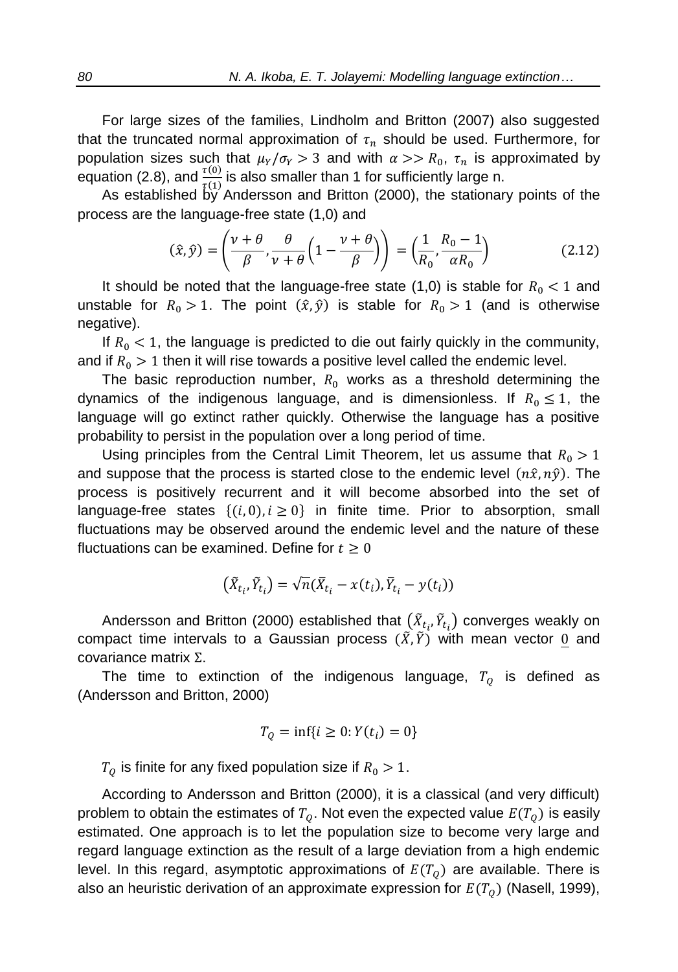For large sizes of the families, Lindholm and Britton (2007) also suggested that the truncated normal approximation of  $\tau_n$  should be used. Furthermore, for population sizes such that  $\mu_Y / \sigma_Y > 3$  and with  $\alpha >> R_0$ ,  $\tau_n$  is approximated by equation (2.8), and  $\frac{\tau(0)}{\tau(1)}$  is also smaller than 1 for sufficiently large n.

As established by Andersson and Britton (2000), the stationary points of the process are the language-free state (1,0) and

$$
(\hat{x}, \hat{y}) = \left(\frac{v+\theta}{\beta}, \frac{\theta}{v+\theta}\left(1 - \frac{v+\theta}{\beta}\right)\right) = \left(\frac{1}{R_0}, \frac{R_0 - 1}{\alpha R_0}\right)
$$
(2.12)

It should be noted that the language-free state (1,0) is stable for  $R_0 < 1$  and unstable for  $R_0 > 1$ . The point  $(\hat{x}, \hat{y})$  is stable for  $R_0 > 1$  (and is otherwise negative).

If  $R_0 < 1$ , the language is predicted to die out fairly quickly in the community, and if  $R_0 > 1$  then it will rise towards a positive level called the endemic level.

The basic reproduction number,  $R_0$  works as a threshold determining the dynamics of the indigenous language, and is dimensionless. If  $R_0 \le 1$ , the language will go extinct rather quickly. Otherwise the language has a positive probability to persist in the population over a long period of time.

Using principles from the Central Limit Theorem, let us assume that  $R_0 > 1$ and suppose that the process is started close to the endemic level  $(n\hat{x}, n\hat{y})$ . The process is positively recurrent and it will become absorbed into the set of language-free states  $\{(i, 0), i \geq 0\}$  in finite time. Prior to absorption, small fluctuations may be observed around the endemic level and the nature of these fluctuations can be examined. Define for  $t \geq 0$ 

$$
(\tilde{X}_{t_i}, \tilde{Y}_{t_i}) = \sqrt{n}(\bar{X}_{t_i} - x(t_i), \bar{Y}_{t_i} - y(t_i))
$$

Andersson and Britton (2000) established that  $(\tilde{X}_{t_i}, \tilde{Y}_{t_i})$  converges weakly on compact time intervals to a Gaussian process  $(\tilde{X}, \tilde{Y})$  with mean vector 0 and covariance matrix Σ.

The time to extinction of the indigenous language,  $T<sub>o</sub>$  is defined as (Andersson and Britton, 2000)

$$
T_Q = \inf\{i \ge 0 : Y(t_i) = 0\}
$$

 $T<sub>o</sub>$  is finite for any fixed population size if  $R<sub>0</sub> > 1$ .

According to Andersson and Britton (2000), it is a classical (and very difficult) problem to obtain the estimates of  $T_0$ . Not even the expected value  $E(T_0)$  is easily estimated. One approach is to let the population size to become very large and regard language extinction as the result of a large deviation from a high endemic level. In this regard, asymptotic approximations of  $E(T<sub>o</sub>)$  are available. There is also an heuristic derivation of an approximate expression for  $E(T<sub>0</sub>)$  (Nasell, 1999),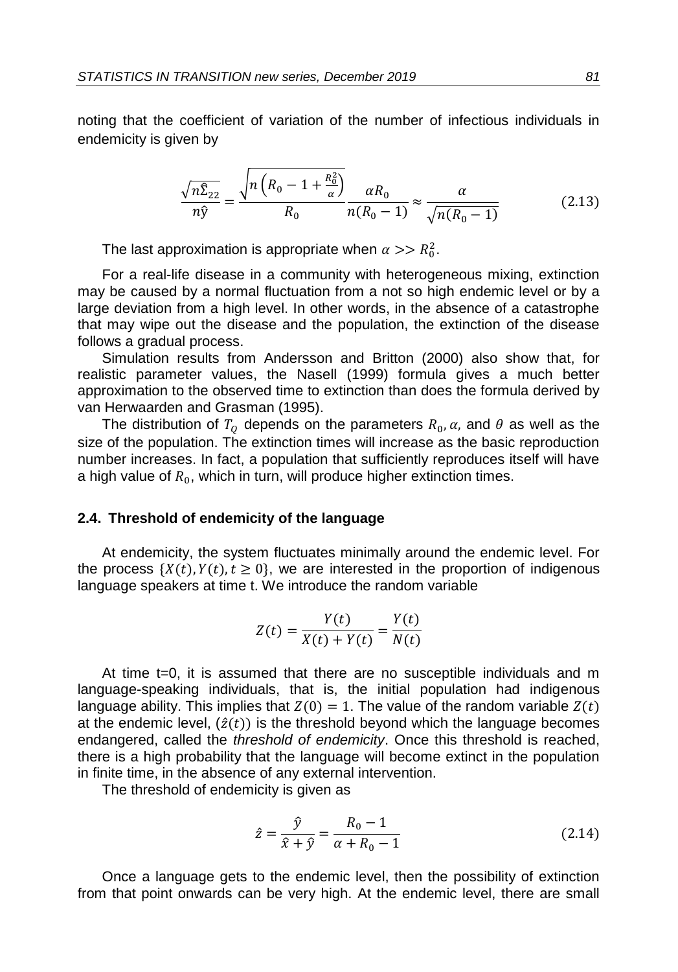noting that the coefficient of variation of the number of infectious individuals in endemicity is given by

$$
\frac{\sqrt{n\hat{\Sigma}_{22}}}{n\hat{y}} = \frac{\sqrt{n\left(R_0 - 1 + \frac{R_0^2}{\alpha}\right)}}{R_0} \frac{\alpha R_0}{n(R_0 - 1)} \approx \frac{\alpha}{\sqrt{n(R_0 - 1)}}
$$
(2.13)

The last approximation is appropriate when  $\alpha >> R_0^2$ .

For a real-life disease in a community with heterogeneous mixing, extinction may be caused by a normal fluctuation from a not so high endemic level or by a large deviation from a high level. In other words, in the absence of a catastrophe that may wipe out the disease and the population, the extinction of the disease follows a gradual process.

Simulation results from Andersson and Britton (2000) also show that, for realistic parameter values, the Nasell (1999) formula gives a much better approximation to the observed time to extinction than does the formula derived by van Herwaarden and Grasman (1995).

The distribution of  $T_Q$  depends on the parameters  $R_0$ ,  $\alpha$ , and  $\theta$  as well as the size of the population. The extinction times will increase as the basic reproduction number increases. In fact, a population that sufficiently reproduces itself will have a high value of  $R_{\rm 0}$ , which in turn, will produce higher extinction times.

#### **2.4. Threshold of endemicity of the language**

At endemicity, the system fluctuates minimally around the endemic level. For the process  $\{X(t), Y(t), t \geq 0\}$ , we are interested in the proportion of indigenous language speakers at time t. We introduce the random variable

$$
Z(t) = \frac{Y(t)}{X(t) + Y(t)} = \frac{Y(t)}{N(t)}
$$

At time t=0, it is assumed that there are no susceptible individuals and m language-speaking individuals, that is, the initial population had indigenous language ability. This implies that  $Z(0) = 1$ . The value of the random variable  $Z(t)$ at the endemic level,  $(\hat{z}(t))$  is the threshold beyond which the language becomes endangered, called the *threshold of endemicity*. Once this threshold is reached, there is a high probability that the language will become extinct in the population in finite time, in the absence of any external intervention.

The threshold of endemicity is given as

$$
\hat{z} = \frac{\hat{y}}{\hat{x} + \hat{y}} = \frac{R_0 - 1}{\alpha + R_0 - 1}
$$
\n(2.14)

Once a language gets to the endemic level, then the possibility of extinction from that point onwards can be very high. At the endemic level, there are small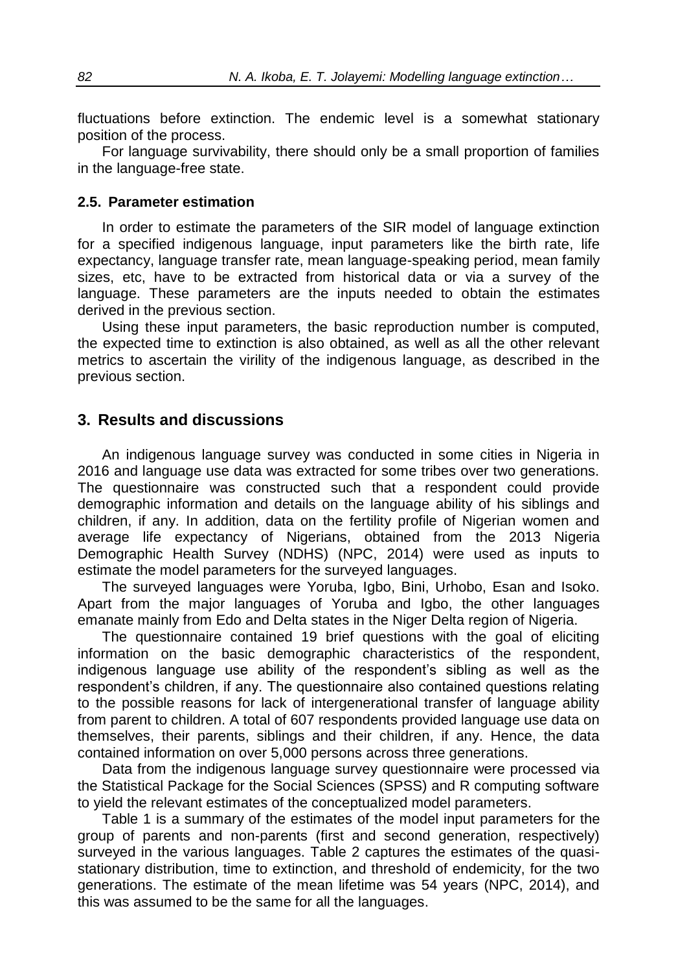fluctuations before extinction. The endemic level is a somewhat stationary position of the process.

For language survivability, there should only be a small proportion of families in the language-free state.

### **2.5. Parameter estimation**

In order to estimate the parameters of the SIR model of language extinction for a specified indigenous language, input parameters like the birth rate, life expectancy, language transfer rate, mean language-speaking period, mean family sizes, etc, have to be extracted from historical data or via a survey of the language. These parameters are the inputs needed to obtain the estimates derived in the previous section.

Using these input parameters, the basic reproduction number is computed, the expected time to extinction is also obtained, as well as all the other relevant metrics to ascertain the virility of the indigenous language, as described in the previous section.

### **3. Results and discussions**

An indigenous language survey was conducted in some cities in Nigeria in 2016 and language use data was extracted for some tribes over two generations. The questionnaire was constructed such that a respondent could provide demographic information and details on the language ability of his siblings and children, if any. In addition, data on the fertility profile of Nigerian women and average life expectancy of Nigerians, obtained from the 2013 Nigeria Demographic Health Survey (NDHS) (NPC, 2014) were used as inputs to estimate the model parameters for the surveyed languages.

The surveyed languages were Yoruba, Igbo, Bini, Urhobo, Esan and Isoko. Apart from the major languages of Yoruba and Igbo, the other languages emanate mainly from Edo and Delta states in the Niger Delta region of Nigeria.

The questionnaire contained 19 brief questions with the goal of eliciting information on the basic demographic characteristics of the respondent, indigenous language use ability of the respondent's sibling as well as the respondent's children, if any. The questionnaire also contained questions relating to the possible reasons for lack of intergenerational transfer of language ability from parent to children. A total of 607 respondents provided language use data on themselves, their parents, siblings and their children, if any. Hence, the data contained information on over 5,000 persons across three generations.

Data from the indigenous language survey questionnaire were processed via the Statistical Package for the Social Sciences (SPSS) and R computing software to yield the relevant estimates of the conceptualized model parameters.

Table 1 is a summary of the estimates of the model input parameters for the group of parents and non-parents (first and second generation, respectively) surveyed in the various languages. Table 2 captures the estimates of the quasistationary distribution, time to extinction, and threshold of endemicity, for the two generations. The estimate of the mean lifetime was 54 years (NPC, 2014), and this was assumed to be the same for all the languages.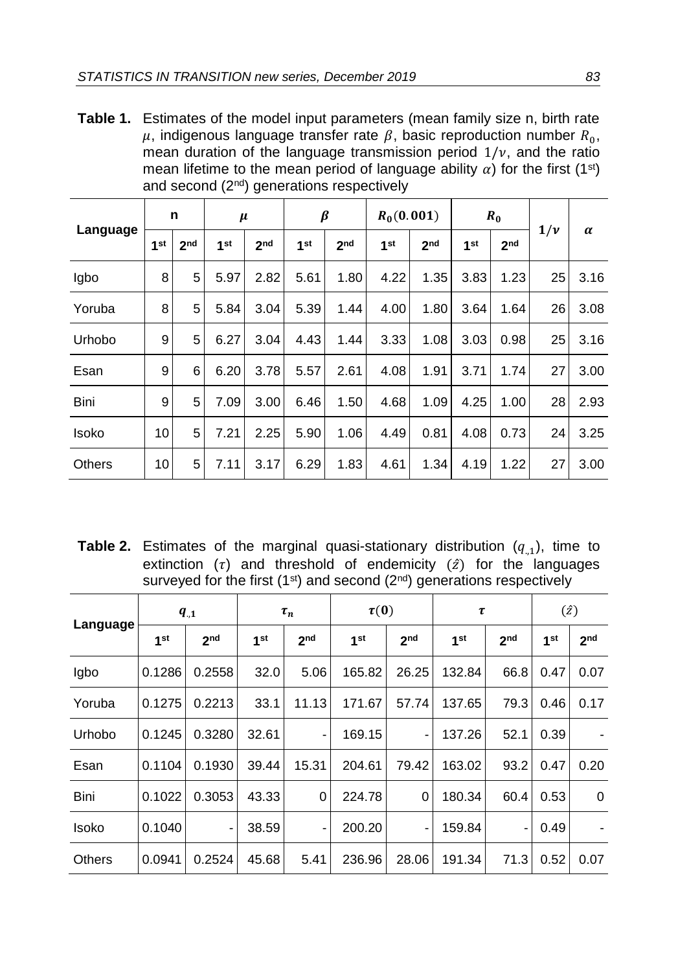**Table 1.** Estimates of the model input parameters (mean family size n, birth rate  $\mu$ , indigenous language transfer rate  $\beta$ , basic reproduction number  $R_0$ , mean duration of the language transmission period  $1/v$ , and the ratio mean lifetime to the mean period of language ability  $\alpha$ ) for the first (1<sup>st</sup>) and second (2<sup>nd</sup>) generations respectively

|          | n               |                 | $\mu$           |                 | β               |                 | $R_0(0.001)$    |                 | $R_0$           |                 | $1/\nu$ |          |
|----------|-----------------|-----------------|-----------------|-----------------|-----------------|-----------------|-----------------|-----------------|-----------------|-----------------|---------|----------|
| Language | 1 <sup>st</sup> | 2 <sub>nd</sub> | 1 <sub>st</sub> | 2 <sub>nd</sub> | 1 <sup>st</sup> | 2 <sub>nd</sub> | 1 <sup>st</sup> | 2 <sub>nd</sub> | 1 <sup>st</sup> | 2 <sub>nd</sub> |         | $\alpha$ |
| Igbo     | 8               | 5               | 5.97            | 2.82            | 5.61            | 1.80            | 4.22            | 1.35            | 3.83            | 1.23            | 25      | 3.16     |
| Yoruba   | 8               | 5               | 5.84            | 3.04            | 5.39            | 1.44            | 4.00            | 1.80            | 3.64            | 1.64            | 26      | 3.08     |
| Urhobo   | 9               | 5               | 6.27            | 3.04            | 4.43            | 1.44            | 3.33            | 1.08            | 3.03            | 0.98            | 25      | 3.16     |
| Esan     | 9               | 6               | 6.20            | 3.78            | 5.57            | 2.61            | 4.08            | 1.91            | 3.71            | 1.74            | 27      | 3.00     |
| Bini     | 9               | 5               | 7.09            | 3.00            | 6.46            | 1.50            | 4.68            | 1.09            | 4.25            | 1.00            | 28      | 2.93     |
| Isoko    | 10              | 5               | 7.21            | 2.25            | 5.90            | 1.06            | 4.49            | 0.81            | 4.08            | 0.73            | 24      | 3.25     |
| Others   | 10              | 5               | 7.11            | 3.17            | 6.29            | 1.83            | 4.61            | 1.34            | 4.19            | 1.22            | 27      | 3.00     |

**Table 2.** Estimates of the marginal quasi-stationary distribution  $(q_{,1})$ , time to extinction  $(\tau)$  and threshold of endemicity  $(\hat{z})$  for the languages surveyed for the first (1<sup>st</sup>) and second ( $2<sup>nd</sup>$ ) generations respectively

|               | $q_{.1}$        |                 | $\tau_n$ |                 | $\tau(0)$       |                 | τ               |                 | $(\hat{z})$     |                 |
|---------------|-----------------|-----------------|----------|-----------------|-----------------|-----------------|-----------------|-----------------|-----------------|-----------------|
| Language      | 1 <sup>st</sup> | 2 <sub>nd</sub> | 1st      | 2 <sub>nd</sub> | 1 <sup>st</sup> | 2 <sub>nd</sub> | 1 <sup>st</sup> | 2 <sub>nd</sub> | 1 <sup>st</sup> | 2 <sub>nd</sub> |
| Igbo          | 0.1286          | 0.2558          | 32.0     | 5.06            | 165.82          | 26.25           | 132.84          | 66.8            | 0.47            | 0.07            |
| Yoruba        | 0.1275          | 0.2213          | 33.1     | 11.13           | 171.67          | 57.74           | 137.65          | 79.3            | 0.46            | 0.17            |
| Urhobo        | 0.1245          | 0.3280          | 32.61    |                 | 169.15          | -               | 137.26          | 52.1            | 0.39            |                 |
| Esan          | 0.1104          | 0.1930          | 39.44    | 15.31           | 204.61          | 79.42           | 163.02          | 93.2            | 0.47            | 0.20            |
| Bini          | 0.1022          | 0.3053          | 43.33    | 0               | 224.78          | 0               | 180.34          | 60.4            | 0.53            | $\Omega$        |
| Isoko         | 0.1040          | ۰               | 38.59    | ۰               | 200.20          | ٠               | 159.84          | -               | 0.49            |                 |
| <b>Others</b> | 0.0941          | 0.2524          | 45.68    | 5.41            | 236.96          | 28.06           | 191.34          | 71.3            | 0.52            | 0.07            |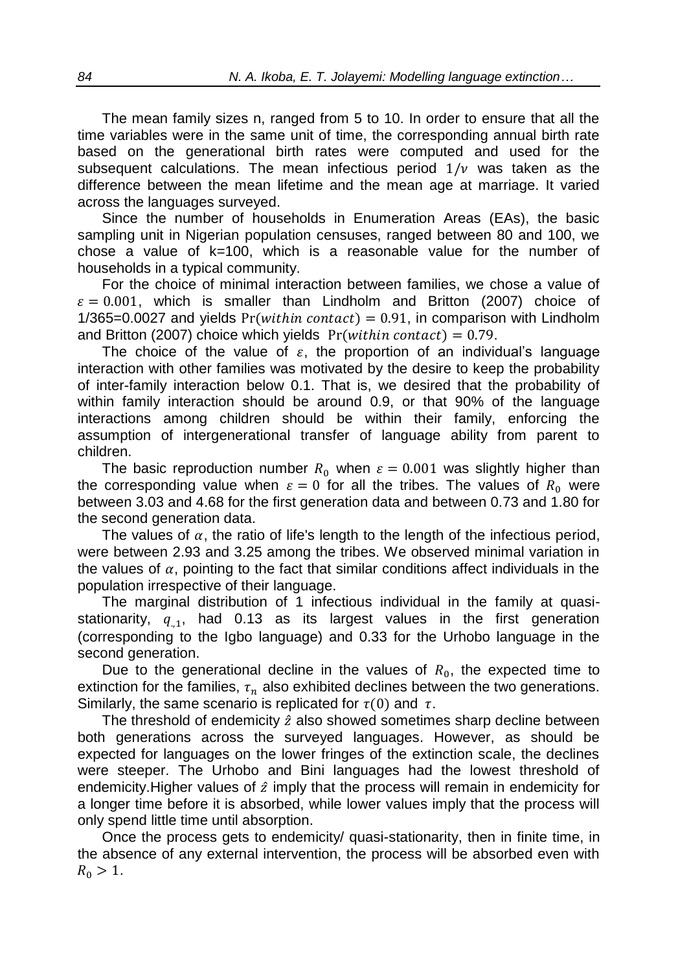The mean family sizes n, ranged from 5 to 10. In order to ensure that all the time variables were in the same unit of time, the corresponding annual birth rate based on the generational birth rates were computed and used for the subsequent calculations. The mean infectious period  $1/\nu$  was taken as the difference between the mean lifetime and the mean age at marriage. It varied across the languages surveyed.

Since the number of households in Enumeration Areas (EAs), the basic sampling unit in Nigerian population censuses, ranged between 80 and 100, we chose a value of  $k=100$ , which is a reasonable value for the number of households in a typical community.

For the choice of minimal interaction between families, we chose a value of  $\varepsilon = 0.001$ , which is smaller than Lindholm and Britton (2007) choice of  $1/365=0.0027$  and yields  $Pr(within contact) = 0.91$ , in comparison with Lindholm and Britton (2007) choice which yields  $Pr (within \, contact) = 0.79$ .

The choice of the value of  $\varepsilon$ , the proportion of an individual's language interaction with other families was motivated by the desire to keep the probability of inter-family interaction below 0.1. That is, we desired that the probability of within family interaction should be around 0.9, or that 90% of the language interactions among children should be within their family, enforcing the assumption of intergenerational transfer of language ability from parent to children.

The basic reproduction number  $R_0$  when  $\varepsilon = 0.001$  was slightly higher than the corresponding value when  $\varepsilon = 0$  for all the tribes. The values of  $R_0$  were between 3.03 and 4.68 for the first generation data and between 0.73 and 1.80 for the second generation data.

The values of  $\alpha$ , the ratio of life's length to the length of the infectious period, were between 2.93 and 3.25 among the tribes. We observed minimal variation in the values of  $\alpha$ , pointing to the fact that similar conditions affect individuals in the population irrespective of their language.

The marginal distribution of 1 infectious individual in the family at quasistationarity,  $q_{1,1}$ , had 0.13 as its largest values in the first generation (corresponding to the Igbo language) and 0.33 for the Urhobo language in the second generation.

Due to the generational decline in the values of  $R_0$ , the expected time to extinction for the families,  $\tau_n$  also exhibited declines between the two generations. Similarly, the same scenario is replicated for  $\tau(0)$  and  $\tau$ .

The threshold of endemicity  $\hat{z}$  also showed sometimes sharp decline between both generations across the surveyed languages. However, as should be expected for languages on the lower fringes of the extinction scale, the declines were steeper. The Urhobo and Bini languages had the lowest threshold of endemicity. Higher values of  $\hat{z}$  imply that the process will remain in endemicity for a longer time before it is absorbed, while lower values imply that the process will only spend little time until absorption.

Once the process gets to endemicity/ quasi-stationarity, then in finite time, in the absence of any external intervention, the process will be absorbed even with  $R_0 > 1$ .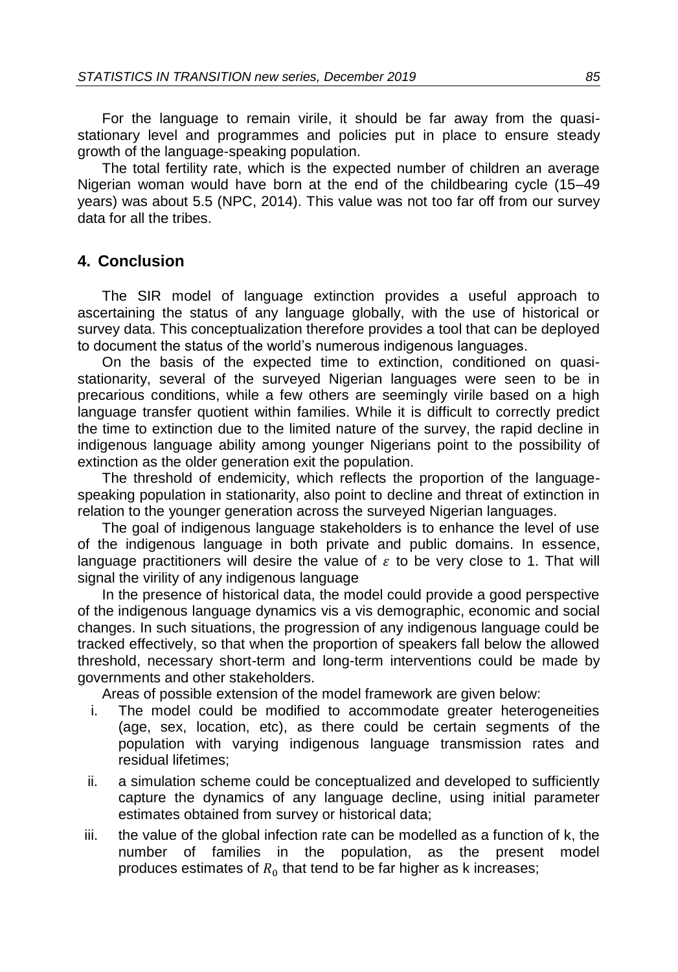For the language to remain virile, it should be far away from the quasistationary level and programmes and policies put in place to ensure steady growth of the language-speaking population.

The total fertility rate, which is the expected number of children an average Nigerian woman would have born at the end of the childbearing cycle (15–49 years) was about 5.5 (NPC, 2014). This value was not too far off from our survey data for all the tribes.

## **4. Conclusion**

The SIR model of language extinction provides a useful approach to ascertaining the status of any language globally, with the use of historical or survey data. This conceptualization therefore provides a tool that can be deployed to document the status of the world's numerous indigenous languages.

On the basis of the expected time to extinction, conditioned on quasistationarity, several of the surveyed Nigerian languages were seen to be in precarious conditions, while a few others are seemingly virile based on a high language transfer quotient within families. While it is difficult to correctly predict the time to extinction due to the limited nature of the survey, the rapid decline in indigenous language ability among younger Nigerians point to the possibility of extinction as the older generation exit the population.

The threshold of endemicity, which reflects the proportion of the languagespeaking population in stationarity, also point to decline and threat of extinction in relation to the younger generation across the surveyed Nigerian languages.

The goal of indigenous language stakeholders is to enhance the level of use of the indigenous language in both private and public domains. In essence, language practitioners will desire the value of  $\varepsilon$  to be very close to 1. That will signal the virility of any indigenous language

In the presence of historical data, the model could provide a good perspective of the indigenous language dynamics vis a vis demographic, economic and social changes. In such situations, the progression of any indigenous language could be tracked effectively, so that when the proportion of speakers fall below the allowed threshold, necessary short-term and long-term interventions could be made by governments and other stakeholders.

Areas of possible extension of the model framework are given below:

- i. The model could be modified to accommodate greater heterogeneities (age, sex, location, etc), as there could be certain segments of the population with varying indigenous language transmission rates and residual lifetimes;
- ii. a simulation scheme could be conceptualized and developed to sufficiently capture the dynamics of any language decline, using initial parameter estimates obtained from survey or historical data;
- iii. the value of the global infection rate can be modelled as a function of k, the number of families in the population, as the present model produces estimates of  $R_0$  that tend to be far higher as k increases;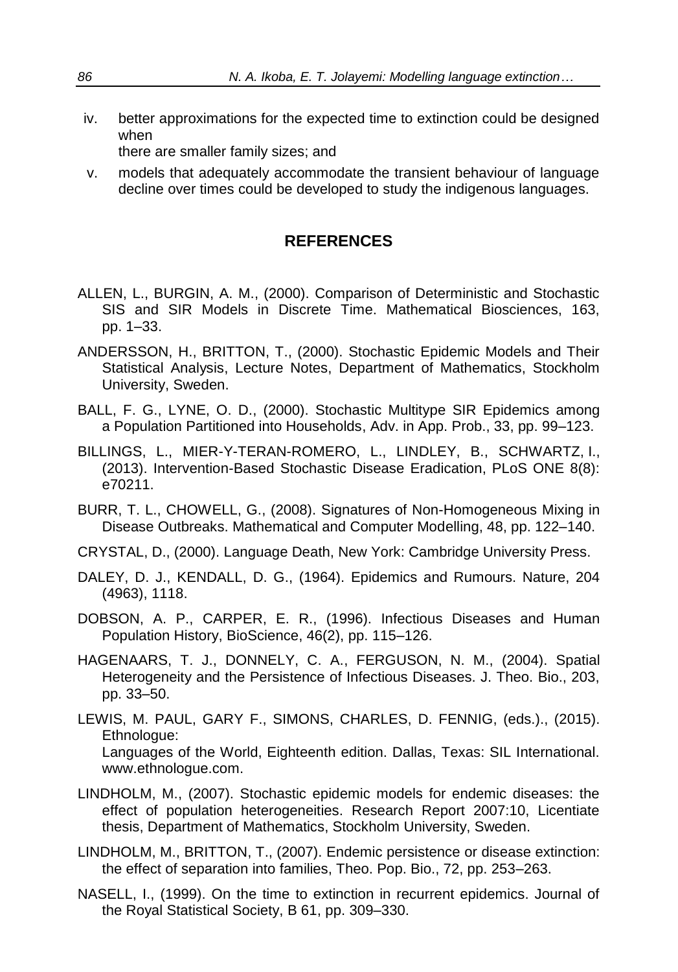iv. better approximations for the expected time to extinction could be designed when

there are smaller family sizes; and

v. models that adequately accommodate the transient behaviour of language decline over times could be developed to study the indigenous languages.

# **REFERENCES**

- ALLEN, L., BURGIN, A. M., (2000). Comparison of Deterministic and Stochastic SIS and SIR Models in Discrete Time. Mathematical Biosciences, 163, pp. 1–33.
- ANDERSSON, H., BRITTON, T., (2000). Stochastic Epidemic Models and Their Statistical Analysis, Lecture Notes, Department of Mathematics, Stockholm University, Sweden.
- BALL, F. G., LYNE, O. D., (2000). Stochastic Multitype SIR Epidemics among a Population Partitioned into Households, Adv. in App. Prob., 33, pp. 99–123.
- BILLINGS, L., MIER-Y-TERAN-ROMERO, L., LINDLEY, B., SCHWARTZ, I., (2013). Intervention-Based Stochastic Disease Eradication, PLoS ONE 8(8): e70211.
- BURR, T. L., CHOWELL, G., (2008). Signatures of Non-Homogeneous Mixing in Disease Outbreaks. Mathematical and Computer Modelling, 48, pp. 122–140.
- CRYSTAL, D., (2000). Language Death, New York: Cambridge University Press.
- DALEY, D. J., KENDALL, D. G., (1964). Epidemics and Rumours. Nature, 204 (4963), 1118.
- DOBSON, A. P., CARPER, E. R., (1996). Infectious Diseases and Human Population History, BioScience, 46(2), pp. 115–126.
- HAGENAARS, T. J., DONNELY, C. A., FERGUSON, N. M., (2004). Spatial Heterogeneity and the Persistence of Infectious Diseases. J. Theo. Bio., 203, pp. 33–50.
- LEWIS, M. PAUL, GARY F., SIMONS, CHARLES, D. FENNIG, (eds.)., (2015). Ethnologue: Languages of the World, Eighteenth edition. Dallas, Texas: SIL International. www.ethnologue.com.
- LINDHOLM, M., (2007). Stochastic epidemic models for endemic diseases: the effect of population heterogeneities. Research Report 2007:10, Licentiate thesis, Department of Mathematics, Stockholm University, Sweden.
- LINDHOLM, M., BRITTON, T., (2007). Endemic persistence or disease extinction: the effect of separation into families, Theo. Pop. Bio., 72, pp. 253–263.
- NASELL, I., (1999). On the time to extinction in recurrent epidemics. Journal of the Royal Statistical Society, B 61, pp. 309–330.